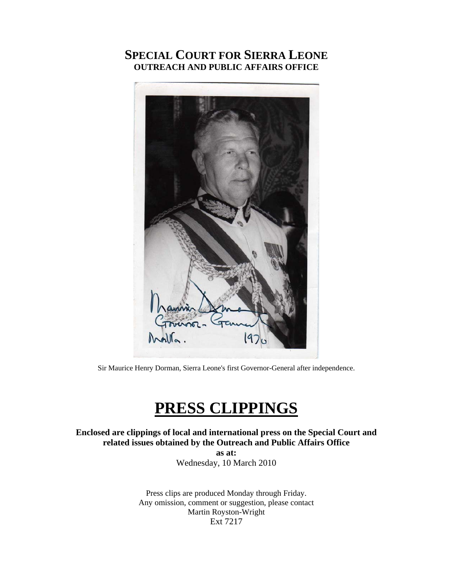# **SPECIAL COURT FOR SIERRA LEONE OUTREACH AND PUBLIC AFFAIRS OFFICE**



Sir Maurice Henry Dorman, Sierra Leone's first Governor-General after independence.

# **PRESS CLIPPINGS**

**Enclosed are clippings of local and international press on the Special Court and related issues obtained by the Outreach and Public Affairs Office as at:** 

Wednesday, 10 March 2010

Press clips are produced Monday through Friday. Any omission, comment or suggestion, please contact Martin Royston-Wright Ext 7217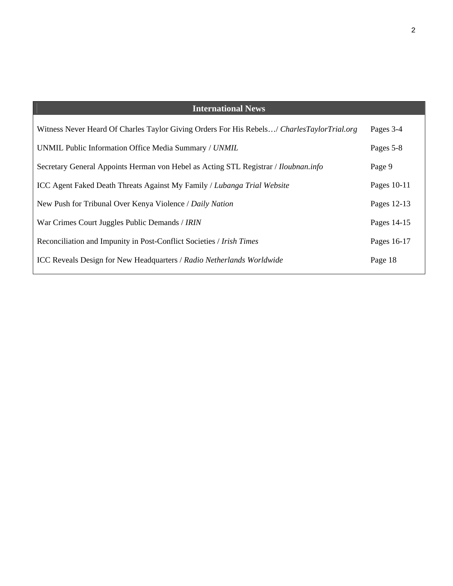| <b>International News</b>                                                                  |             |
|--------------------------------------------------------------------------------------------|-------------|
| Witness Never Heard Of Charles Taylor Giving Orders For His Rebels/ CharlesTaylorTrial.org | Pages 3-4   |
| UNMIL Public Information Office Media Summary / UNMIL                                      | Pages 5-8   |
| Secretary General Appoints Herman von Hebel as Acting STL Registrar / <i>Iloubnan.info</i> | Page 9      |
| ICC Agent Faked Death Threats Against My Family / Lubanga Trial Website                    | Pages 10-11 |
| New Push for Tribunal Over Kenya Violence / Daily Nation                                   | Pages 12-13 |
| War Crimes Court Juggles Public Demands / IRIN                                             | Pages 14-15 |
| Reconciliation and Impunity in Post-Conflict Societies / Irish Times                       | Pages 16-17 |
| <b>ICC Reveals Design for New Headquarters / Radio Netherlands Worldwide</b>               | Page 18     |

2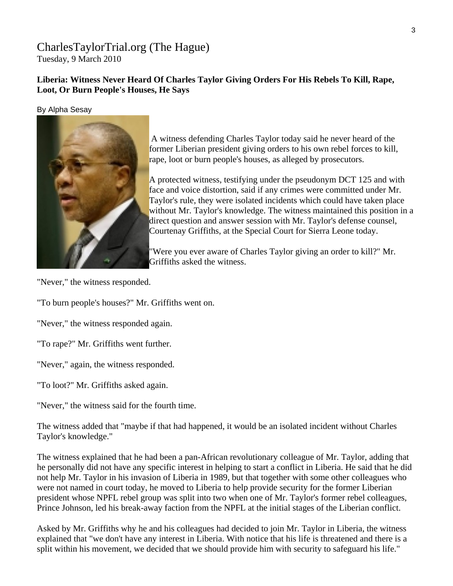### [CharlesTaylorTrial.org](http://www.charlestaylortrial.org/about/) (The Hague) Tuesday, 9 March 2010

### **[Liberia:](http://allafrica.com/liberia/) Witness Never Heard Of Charles Taylor Giving Orders For His Rebels To Kill, Rape, Loot, Or Burn People's Houses, He Says**

By Alpha Sesay



A witness defending Charles Taylor today said he never heard of the former Liberian president giving orders to his own rebel forces to kill, rape, loot or burn people's houses, as alleged by prosecutors.

A protected witness, testifying under the pseudonym DCT 125 and with face and voice distortion, said if any crimes were committed under Mr. Taylor's rule, they were isolated incidents which could have taken place without Mr. Taylor's knowledge. The witness maintained this position in a direct question and answer session with Mr. Taylor's defense counsel, Courtenay Griffiths, at the Special Court for Sierra Leone today.

"Were you ever aware of Charles Taylor giving an order to kill?" Mr. Griffiths asked the witness.

"Never," the witness responded.

"To burn people's houses?" Mr. Griffiths went on.

"Never," the witness responded again.

"To rape?" Mr. Griffiths went further.

"Never," again, the witness responded.

"To loot?" Mr. Griffiths asked again.

"Never," the witness said for the fourth time.

The witness added that "maybe if that had happened, it would be an isolated incident without Charles Taylor's knowledge."

The witness explained that he had been a pan-African revolutionary colleague of Mr. Taylor, adding that he personally did not have any specific interest in helping to start a conflict in Liberia. He said that he did not help Mr. Taylor in his invasion of Liberia in 1989, but that together with some other colleagues who were not named in court today, he moved to Liberia to help provide security for the former Liberian president whose NPFL rebel group was split into two when one of Mr. Taylor's former rebel colleagues, Prince Johnson, led his break-away faction from the NPFL at the initial stages of the Liberian conflict.

Asked by Mr. Griffiths why he and his colleagues had decided to join Mr. Taylor in Liberia, the witness explained that "we don't have any interest in Liberia. With notice that his life is threatened and there is a split within his movement, we decided that we should provide him with security to safeguard his life."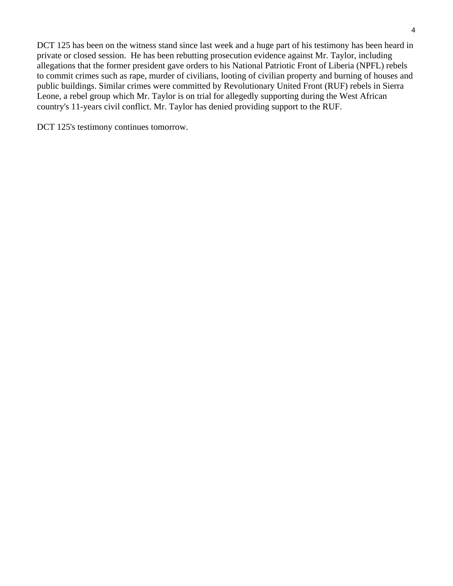DCT 125 has been on the witness stand since last week and a huge part of his testimony has been heard in private or closed session. He has been rebutting prosecution evidence against Mr. Taylor, including allegations that the former president gave orders to his National Patriotic Front of Liberia (NPFL) rebels to commit crimes such as rape, murder of civilians, looting of civilian property and burning of houses and public buildings. Similar crimes were committed by Revolutionary United Front (RUF) rebels in Sierra Leone, a rebel group which Mr. Taylor is on trial for allegedly supporting during the West African country's 11-years civil conflict. Mr. Taylor has denied providing support to the RUF.

DCT 125's testimony continues tomorrow.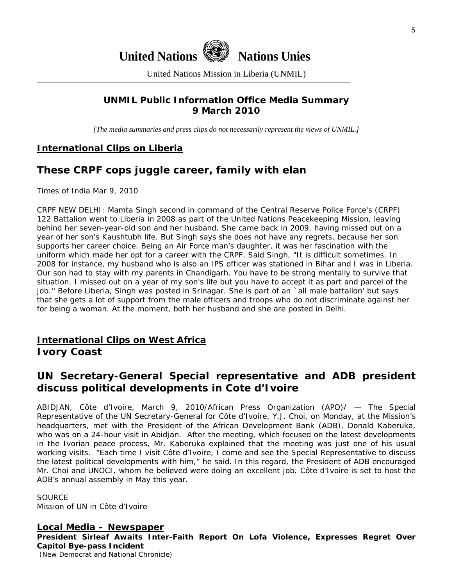



United Nations Mission in Liberia (UNMIL)

### **UNMIL Public Information Office Media Summary 9 March 2010**

*[The media summaries and press clips do not necessarily represent the views of UNMIL.]* 

### **International Clips on Liberia**

# **These CRPF cops juggle career, family with elan**

Times of India Mar 9, 2010

CRPF NEW DELHI: Mamta Singh second in command of the Central Reserve Police Force's (CRPF) 122 Battalion went to Liberia in 2008 as part of the United Nations Peacekeeping Mission, leaving behind her seven-year-old son and her husband. She came back in 2009, having missed out on a year of her son's Kaushtubh life. But Singh says she does not have any regrets, because her son supports her career choice. Being an Air Force man's daughter, it was her fascination with the uniform which made her opt for a career with the CRPF. Said Singh, "It is difficult sometimes. In 2008 for instance, my husband who is also an IPS officer was stationed in Bihar and I was in Liberia. Our son had to stay with my parents in Chandigarh. You have to be strong mentally to survive that situation. I missed out on a year of my son's life but you have to accept it as part and parcel of the job.'' Before Liberia, Singh was posted in Srinagar. She is part of an `all male battalion' but says that she gets a lot of support from the male officers and troops who do not discriminate against her for being a woman. At the moment, both her husband and she are posted in Delhi.

### **International Clips on West Africa Ivory Coast**

# **UN Secretary-General Special representative and ADB president discuss political developments in Cote d'Ivoire**

ABIDJAN, Côte d'Ivoire, March 9, 2010/African Press Organization (APO)/ — The Special Representative of the UN Secretary-General for Côte d'Ivoire, Y.J. Choi, on Monday, at the Mission's headquarters, met with the President of the African Development Bank (ADB), Donald Kaberuka, who was on a 24-hour visit in Abidjan. After the meeting, which focused on the latest developments in the Ivorian peace process, Mr. Kaberuka explained that the meeting was just one of his usual working visits. "Each time I visit Côte d'Ivoire, I come and see the Special Representative to discuss the latest political developments with him," he said. In this regard, the President of ADB encouraged Mr. Choi and UNOCI, whom he believed were doing an excellent job. Côte d'Ivoire is set to host the ADB's annual assembly in May this year.

**SOURCE** Mission of UN in Côte d'Ivoire

### **Local Media – Newspaper**

**President Sirleaf Awaits Inter-Faith Report On Lofa Violence, Expresses Regret Over Capitol Bye-pass Incident** 

(New Democrat and National Chronicle)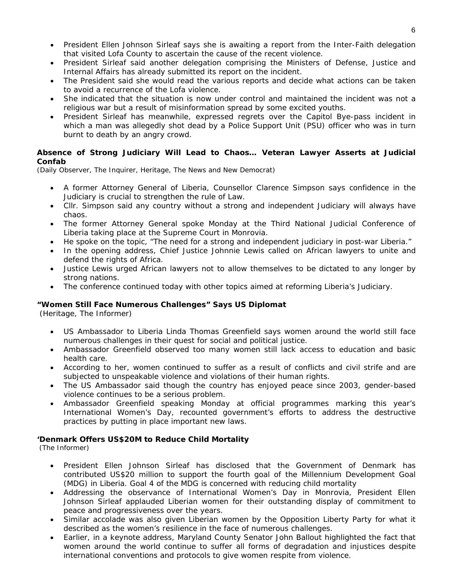- President Ellen Johnson Sirleaf says she is awaiting a report from the Inter-Faith delegation that visited Lofa County to ascertain the cause of the recent violence.
- President Sirleaf said another delegation comprising the Ministers of Defense, Justice and Internal Affairs has already submitted its report on the incident.
- The President said she would read the various reports and decide what actions can be taken to avoid a recurrence of the Lofa violence.
- She indicated that the situation is now under control and maintained the incident was not a religious war but a result of misinformation spread by some excited youths.
- President Sirleaf has meanwhile, expressed regrets over the Capitol Bye-pass incident in which a man was allegedly shot dead by a Police Support Unit (PSU) officer who was in turn burnt to death by an angry crowd.

#### **Absence of Strong Judiciary Will Lead to Chaos… Veteran Lawyer Asserts at Judicial Confab**

(Daily Observer, The Inquirer, Heritage, The News and New Democrat)

- A former Attorney General of Liberia, Counsellor Clarence Simpson says confidence in the Judiciary is crucial to strengthen the rule of Law.
- Cllr. Simpson said any country without a strong and independent Judiciary will always have chaos.
- The former Attorney General spoke Monday at the Third National Judicial Conference of Liberia taking place at the Supreme Court in Monrovia.
- He spoke on the topic, "The need for a strong and independent judiciary in post-war Liberia."
- In the opening address, Chief Justice Johnnie Lewis called on African lawyers to unite and defend the rights of Africa.
- Justice Lewis urged African lawyers not to allow themselves to be dictated to any longer by strong nations.
- The conference continued today with other topics aimed at reforming Liberia's Judiciary.

#### **"Women Still Face Numerous Challenges" Says US Diplomat**

(Heritage, The Informer)

- US Ambassador to Liberia Linda Thomas Greenfield says women around the world still face numerous challenges in their quest for social and political justice.
- Ambassador Greenfield observed too many women still lack access to education and basic health care.
- According to her, women continued to suffer as a result of conflicts and civil strife and are subjected to unspeakable violence and violations of their human rights.
- The US Ambassador said though the country has enjoyed peace since 2003, gender-based violence continues to be a serious problem.
- Ambassador Greenfield speaking Monday at official programmes marking this year's International Women's Day, recounted government's efforts to address the destructive practices by putting in place important new laws.

#### **'Denmark Offers US\$20M to Reduce Child Mortality**

(The Informer)

- President Ellen Johnson Sirleaf has disclosed that the Government of Denmark has contributed US\$20 million to support the fourth goal of the Millennium Development Goal (MDG) in Liberia. Goal 4 of the MDG is concerned with reducing child mortality
- Addressing the observance of International Women's Day in Monrovia, President Ellen Johnson Sirleaf applauded Liberian women for their outstanding display of commitment to peace and progressiveness over the years.
- Similar accolade was also given Liberian women by the Opposition Liberty Party for what it described as the women's resilience in the face of numerous challenges.
- Earlier, in a keynote address, Maryland County Senator John Ballout highlighted the fact that women around the world continue to suffer all forms of degradation and injustices despite international conventions and protocols to give women respite from violence.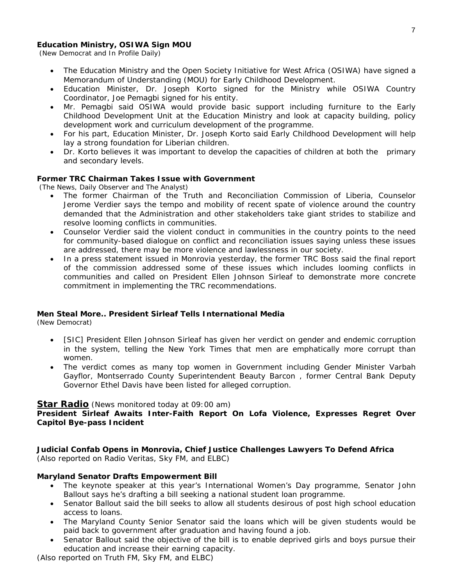#### **Education Ministry, OSIWA Sign MOU**

(New Democrat and In Profile Daily)

- The Education Ministry and the Open Society Initiative for West Africa (OSIWA) have signed a Memorandum of Understanding (MOU) for Early Childhood Development.
- Education Minister, Dr. Joseph Korto signed for the Ministry while OSIWA Country Coordinator, Joe Pemagbi signed for his entity.
- Mr. Pemagbi said OSIWA would provide basic support including furniture to the Early Childhood Development Unit at the Education Ministry and look at capacity building, policy development work and curriculum development of the programme.
- For his part, Education Minister, Dr. Joseph Korto said Early Childhood Development will help lay a strong foundation for Liberian children.
- Dr. Korto believes it was important to develop the capacities of children at both the primary and secondary levels.

#### **Former TRC Chairman Takes Issue with Government**

(The News, Daily Observer and The Analyst)

- The former Chairman of the Truth and Reconciliation Commission of Liberia, Counselor Jerome Verdier says the tempo and mobility of recent spate of violence around the country demanded that the Administration and other stakeholders take giant strides to stabilize and resolve looming conflicts in communities.
- Counselor Verdier said the violent conduct in communities in the country points to the need for community-based dialogue on conflict and reconciliation issues saying unless these issues are addressed, there may be more violence and lawlessness in our society.
- In a press statement issued in Monrovia yesterday, the former TRC Boss said the final report of the commission addressed some of these issues which includes looming conflicts in communities and called on President Ellen Johnson Sirleaf to demonstrate more concrete commitment in implementing the TRC recommendations.

#### **Men Steal More.. President Sirleaf Tells International Media**

(New Democrat)

- [SIC] President Ellen Johnson Sirleaf has given her verdict on gender and endemic corruption in the system, telling the New York Times that men are emphatically more corrupt than women.
- The verdict comes as many top women in Government including Gender Minister Varbah Gayflor, Montserrado County Superintendent Beauty Barcon , former Central Bank Deputy Governor Ethel Davis have been listed for alleged corruption.

#### **Star Radio** *(News monitored today at 09:00 am)*

#### **President Sirleaf Awaits Inter-Faith Report On Lofa Violence, Expresses Regret Over Capitol Bye-pass Incident**

**Judicial Confab Opens in Monrovia, Chief Justice Challenges Lawyers To Defend Africa**  *(Also reported on Radio Veritas, Sky FM, and ELBC)*

#### **Maryland Senator Drafts Empowerment Bill**

- The keynote speaker at this year's International Women's Day programme, Senator John Ballout says he's drafting a bill seeking a national student loan programme.
- Senator Ballout said the bill seeks to allow all students desirous of post high school education access to loans.
- The Maryland County Senior Senator said the loans which will be given students would be paid back to government after graduation and having found a job.
- Senator Ballout said the objective of the bill is to enable deprived girls and boys pursue their education and increase their earning capacity.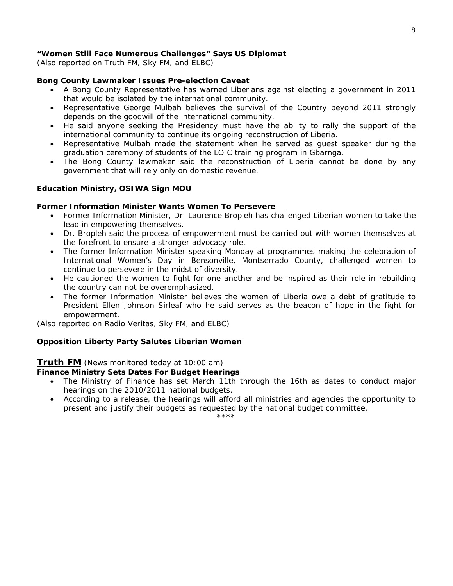#### **"Women Still Face Numerous Challenges" Says US Diplomat**

*(Also reported on Truth FM, Sky FM, and ELBC)*

#### **Bong County Lawmaker Issues Pre-election Caveat**

- A Bong County Representative has warned Liberians against electing a government in 2011 that would be isolated by the international community.
- Representative George Mulbah believes the survival of the Country beyond 2011 strongly depends on the goodwill of the international community.
- He said anyone seeking the Presidency must have the ability to rally the support of the international community to continue its ongoing reconstruction of Liberia.
- Representative Mulbah made the statement when he served as guest speaker during the graduation ceremony of students of the LOIC training program in Gbarnga.
- The Bong County lawmaker said the reconstruction of Liberia cannot be done by any government that will rely only on domestic revenue.

#### **Education Ministry, OSIWA Sign MOU**

#### **Former Information Minister Wants Women To Persevere**

- Former Information Minister, Dr. Laurence Bropleh has challenged Liberian women to take the lead in empowering themselves.
- Dr. Bropleh said the process of empowerment must be carried out with women themselves at the forefront to ensure a stronger advocacy role.
- The former Information Minister speaking Monday at programmes making the celebration of International Women's Day in Bensonville, Montserrado County, challenged women to continue to persevere in the midst of diversity.
- He cautioned the women to fight for one another and be inspired as their role in rebuilding the country can not be overemphasized.
- The former Information Minister believes the women of Liberia owe a debt of gratitude to President Ellen Johnson Sirleaf who he said serves as the beacon of hope in the fight for empowerment.

*(Also reported on Radio Veritas, Sky FM, and ELBC)*

#### **Opposition Liberty Party Salutes Liberian Women**

#### **Truth FM** *(News monitored today at 10:00 am)*

#### **Finance Ministry Sets Dates For Budget Hearings**

- The Ministry of Finance has set March 11th through the 16th as dates to conduct major hearings on the 2010/2011 national budgets.
- According to a release, the hearings will afford all ministries and agencies the opportunity to present and justify their budgets as requested by the national budget committee.

\*\*\*\*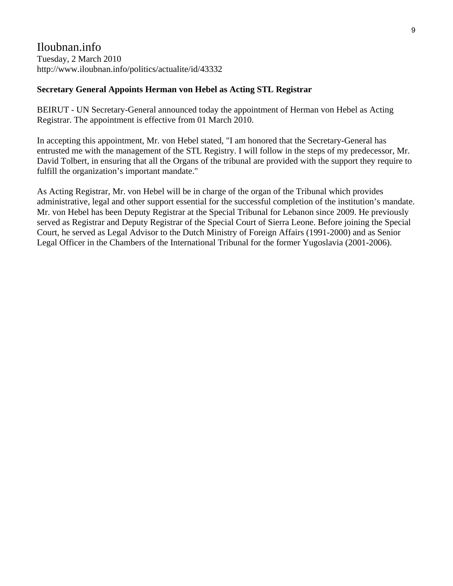### Iloubnan.info Tuesday, 2 March 2010 <http://www.iloubnan.info/politics/actualite/id/43332>

### **Secretary General Appoints Herman von Hebel as Acting STL Registrar**

BEIRUT - UN Secretary-General announced today the appointment of Herman von Hebel as Acting Registrar. The appointment is effective from 01 March 2010.

In accepting this appointment, Mr. von Hebel stated, "I am honored that the Secretary-General has entrusted me with the management of the STL Registry. I will follow in the steps of my predecessor, Mr. David Tolbert, in ensuring that all the Organs of the tribunal are provided with the support they require to fulfill the organization's important mandate."

As Acting Registrar, Mr. von Hebel will be in charge of the organ of the Tribunal which provides administrative, legal and other support essential for the successful completion of the institution's mandate. Mr. von Hebel has been Deputy Registrar at the Special Tribunal for Lebanon since 2009. He previously served as Registrar and Deputy Registrar of the Special Court of Sierra Leone. Before joining the Special Court, he served as Legal Advisor to the Dutch Ministry of Foreign Affairs (1991-2000) and as Senior Legal Officer in the Chambers of the International Tribunal for the former Yugoslavia (2001-2006).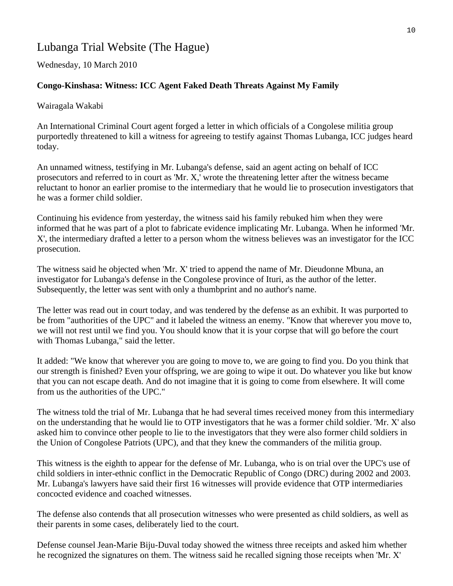# Lubanga Trial Website (The Hague)

Wednesday, 10 March 2010

### **Congo-Kinshasa: Witness: ICC Agent Faked Death Threats Against My Family**

Wairagala Wakabi

An International Criminal Court agent forged a letter in which officials of a Congolese militia group purportedly threatened to kill a witness for agreeing to testify against Thomas Lubanga, ICC judges heard today.

An unnamed witness, testifying in Mr. Lubanga's defense, said an agent acting on behalf of ICC prosecutors and referred to in court as 'Mr. X,' wrote the threatening letter after the witness became reluctant to honor an earlier promise to the intermediary that he would lie to prosecution investigators that he was a former child soldier.

Continuing his evidence from yesterday, the witness said his family rebuked him when they were informed that he was part of a plot to fabricate evidence implicating Mr. Lubanga. When he informed 'Mr. X', the intermediary drafted a letter to a person whom the witness believes was an investigator for the ICC prosecution.

The witness said he objected when 'Mr. X' tried to append the name of Mr. Dieudonne Mbuna, an investigator for Lubanga's defense in the Congolese province of Ituri, as the author of the letter. Subsequently, the letter was sent with only a thumbprint and no author's name.

The letter was read out in court today, and was tendered by the defense as an exhibit. It was purported to be from "authorities of the UPC" and it labeled the witness an enemy. "Know that wherever you move to, we will not rest until we find you. You should know that it is your corpse that will go before the court with Thomas Lubanga," said the letter.

It added: "We know that wherever you are going to move to, we are going to find you. Do you think that our strength is finished? Even your offspring, we are going to wipe it out. Do whatever you like but know that you can not escape death. And do not imagine that it is going to come from elsewhere. It will come from us the authorities of the UPC."

The witness told the trial of Mr. Lubanga that he had several times received money from this intermediary on the understanding that he would lie to OTP investigators that he was a former child soldier. 'Mr. X' also asked him to convince other people to lie to the investigators that they were also former child soldiers in the Union of Congolese Patriots (UPC), and that they knew the commanders of the militia group.

This witness is the eighth to appear for the defense of Mr. Lubanga, who is on trial over the UPC's use of child soldiers in inter-ethnic conflict in the Democratic Republic of Congo (DRC) during 2002 and 2003. Mr. Lubanga's lawyers have said their first 16 witnesses will provide evidence that OTP intermediaries concocted evidence and coached witnesses.

The defense also contends that all prosecution witnesses who were presented as child soldiers, as well as their parents in some cases, deliberately lied to the court.

Defense counsel Jean-Marie Biju-Duval today showed the witness three receipts and asked him whether he recognized the signatures on them. The witness said he recalled signing those receipts when 'Mr. X'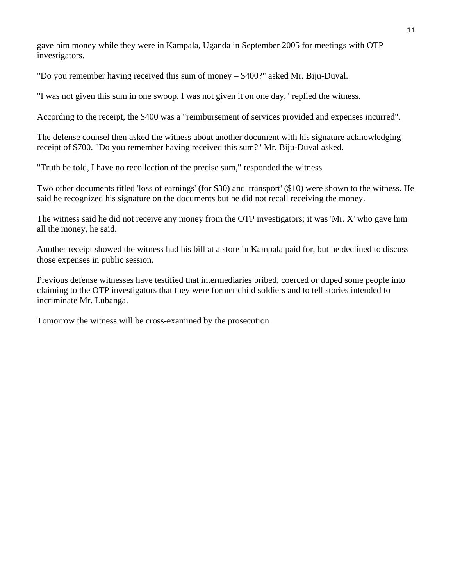gave him money while they were in Kampala, Uganda in September 2005 for meetings with OTP investigators.

"Do you remember having received this sum of money – \$400?" asked Mr. Biju-Duval.

"I was not given this sum in one swoop. I was not given it on one day," replied the witness.

According to the receipt, the \$400 was a "reimbursement of services provided and expenses incurred".

The defense counsel then asked the witness about another document with his signature acknowledging receipt of \$700. "Do you remember having received this sum?" Mr. Biju-Duval asked.

"Truth be told, I have no recollection of the precise sum," responded the witness.

Two other documents titled 'loss of earnings' (for \$30) and 'transport' (\$10) were shown to the witness. He said he recognized his signature on the documents but he did not recall receiving the money.

The witness said he did not receive any money from the OTP investigators; it was 'Mr. X' who gave him all the money, he said.

Another receipt showed the witness had his bill at a store in Kampala paid for, but he declined to discuss those expenses in public session.

Previous defense witnesses have testified that intermediaries bribed, coerced or duped some people into claiming to the OTP investigators that they were former child soldiers and to tell stories intended to incriminate Mr. Lubanga.

Tomorrow the witness will be cross-examined by the prosecution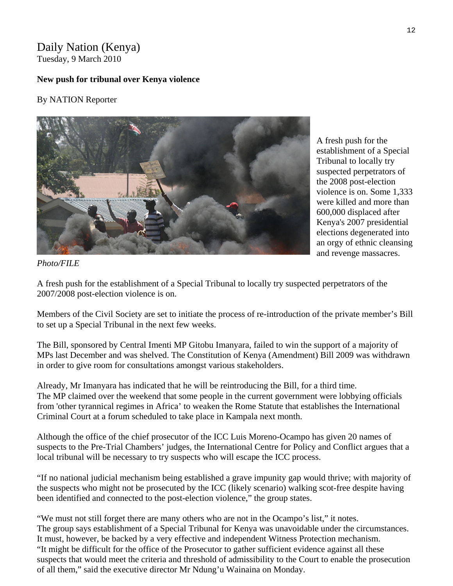### Daily Nation (Kenya) Tuesday, 9 March 2010

### **New push for tribunal over Kenya violence**

### By NATION Reporter



A fresh push for the establishment of a Special Tribunal to locally try suspected perpetrators of the 2008 post-election violence is on. Some 1,333 were killed and more than 600,000 displaced after Kenya's 2007 presidential elections degenerated into an orgy of ethnic cleansing and revenge massacres.

*Photo/FILE* 

A fresh push for the establishment of a Special Tribunal to locally try suspected perpetrators of the 2007/2008 post-election violence is on.

Members of the Civil Society are set to initiate the process of re-introduction of the private member's Bill to set up a Special Tribunal in the next few weeks.

The Bill, sponsored by Central Imenti MP Gitobu Imanyara, failed to win the support of a majority of MPs last December and was shelved. The Constitution of Kenya (Amendment) Bill 2009 was withdrawn in order to give room for consultations amongst various stakeholders.

Already, Mr Imanyara has indicated that he will be reintroducing the Bill, for a third time. The MP claimed over the weekend that some people in the current government were lobbying officials from 'other tyrannical regimes in Africa' to weaken the Rome Statute that establishes the International Criminal Court at a forum scheduled to take place in Kampala next month.

Although the office of the chief prosecutor of the ICC Luis Moreno-Ocampo has given 20 names of suspects to the Pre-Trial Chambers' judges, the International Centre for Policy and Conflict argues that a local tribunal will be necessary to try suspects who will escape the ICC process.

"If no national judicial mechanism being established a grave impunity gap would thrive; with majority of the suspects who might not be prosecuted by the ICC (likely scenario) walking scot-free despite having been identified and connected to the post-election violence," the group states.

"We must not still forget there are many others who are not in the Ocampo's list," it notes. The group says establishment of a Special Tribunal for Kenya was unavoidable under the circumstances. It must, however, be backed by a very effective and independent Witness Protection mechanism. "It might be difficult for the office of the Prosecutor to gather sufficient evidence against all these suspects that would meet the criteria and threshold of admissibility to the Court to enable the prosecution of all them," said the executive director Mr Ndung'u Wainaina on Monday.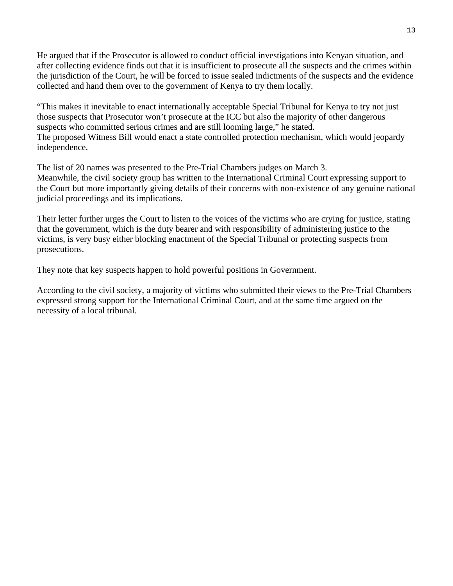He argued that if the Prosecutor is allowed to conduct official investigations into Kenyan situation, and after collecting evidence finds out that it is insufficient to prosecute all the suspects and the crimes within the jurisdiction of the Court, he will be forced to issue sealed indictments of the suspects and the evidence collected and hand them over to the government of Kenya to try them locally.

"This makes it inevitable to enact internationally acceptable Special Tribunal for Kenya to try not just those suspects that Prosecutor won't prosecute at the ICC but also the majority of other dangerous suspects who committed serious crimes and are still looming large," he stated. The proposed Witness Bill would enact a state controlled protection mechanism, which would jeopardy independence.

The list of 20 names was presented to the Pre-Trial Chambers judges on March 3. Meanwhile, the civil society group has written to the International Criminal Court expressing support to the Court but more importantly giving details of their concerns with non-existence of any genuine national judicial proceedings and its implications.

Their letter further urges the Court to listen to the voices of the victims who are crying for justice, stating that the government, which is the duty bearer and with responsibility of administering justice to the victims, is very busy either blocking enactment of the Special Tribunal or protecting suspects from prosecutions.

They note that key suspects happen to hold powerful positions in Government.

According to the civil society, a majority of victims who submitted their views to the Pre-Trial Chambers expressed strong support for the International Criminal Court, and at the same time argued on the necessity of a local tribunal.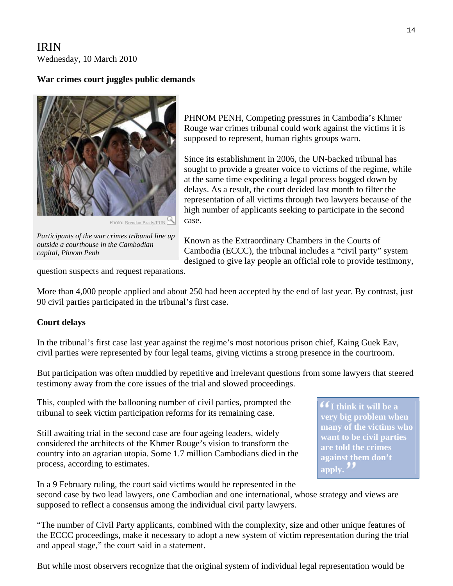## IRIN Wednesday, 10 March 2010

### **War crimes court juggles public demands**



Photo: [Brendan Brady/IRIN](http://www.irinnews.org/photo.aspx)

*Participants of the war crimes tribunal line up outside a courthouse in the Cambodian capital, Phnom Penh* 

PHNOM PENH, Competing pressures in Cambodia's Khmer Rouge war crimes tribunal could work against the victims it is supposed to represent, human rights groups warn.

Since its establishment in 2006, the UN-backed tribunal has sought to provide a greater voice to victims of the regime, while at the same time expediting a legal process bogged down by delays. As a result, the court decided last month to filter the representation of all victims through two lawyers because of the high number of applicants seeking to participate in the second case.

Known as the Extraordinary Chambers in the Courts of Cambodia [\(ECCC](http://www.eccc.gov.kh/)), the tribunal includes a "civil party" system designed to give lay people an official role to provide testimony,

question suspects and request reparations.

More than 4,000 people applied and about 250 had been accepted by the end of last year. By contrast, just 90 civil parties participated in the tribunal's first case.

### **Court delays**

In the tribunal's first case last year against the regime's most notorious prison chief, Kaing Guek Eav, civil parties were represented by four legal teams, giving victims a strong presence in the courtroom.

But participation was often muddled by repetitive and irrelevant questions from some lawyers that steered testimony away from the core issues of the trial and slowed proceedings.

This, coupled with the ballooning number of civil parties, prompted the tribunal to seek victim participation reforms for its remaining case.

Still awaiting trial in the second case are four ageing leaders, widely considered the architects of the Khmer Rouge's vision to transform the country into an agrarian utopia. Some 1.7 million Cambodians died in the process, according to estimates.

**I think it will be a very big problem when many of the victims who want to be civil parties are told the crimes against them don't**  apply.<sup>"</sup>

In a 9 February ruling, the court said victims would be represented in the second case by two lead lawyers, one Cambodian and one international, whose strategy and views are supposed to reflect a consensus among the individual civil party lawyers.

"The number of Civil Party applicants, combined with the complexity, size and other unique features of the ECCC proceedings, make it necessary to adopt a new system of victim representation during the trial and appeal stage," the court said in a [statement.](http://www.eccc.gov.kh/english/news.view.aspx?doc_id=336)

But while most observers recognize that the original system of individual legal representation would be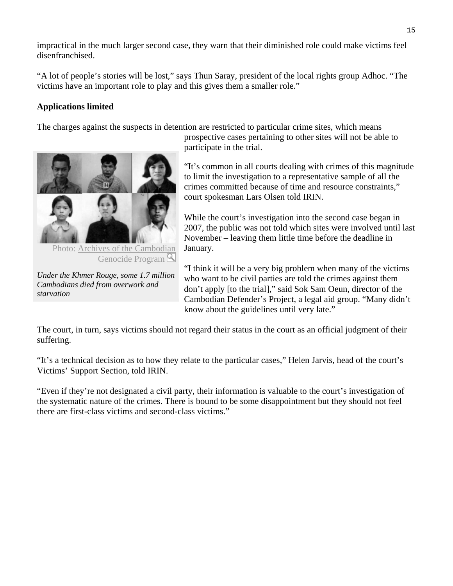impractical in the much larger second case, they warn that their diminished role could make victims feel disenfranchised.

"A lot of people's stories will be lost," says Thun Saray, president of the local rights group Adhoc. "The victims have an important role to play and this gives them a smaller role."

### **Applications limited**

The charges against the suspects in detention are restricted to particular crime sites, which means



Photo: Archives of the Cambod[ian](http://www.irinnews.org/PhotoDetail.aspx?ImageId=201003100901020228)  Genocide Program<sup>Q</sup>

*Under the Khmer Rouge, some 1.7 million Cambodians died from overwork and starvation* 

prospective cases pertaining to other sites will not be able to participate in the trial.

"It's common in all courts dealing with crimes of this magnitude to limit the investigation to a representative sample of all the crimes committed because of time and resource constraints," court spokesman Lars Olsen told IRIN.

While the court's investigation into the second case began in 2007, the public was not told which sites were involved until last November – leaving them little time before the deadline in January.

"I think it will be a very big problem when many of the victims who want to be civil parties are told the crimes against them don't apply [to the trial]," said Sok Sam Oeun, director of the [Cambodian Defender's Project](http://www.cdpcambodia.org/), a legal aid group. "Many didn't know about the guidelines until very late."

The court, in turn, says victims should not regard their status in the court as an official judgment of their suffering.

"It's a technical decision as to how they relate to the particular cases," Helen Jarvis, head of the court's Victims' Support Section, told IRIN.

"Even if they're not designated a civil party, their information is valuable to the court's investigation of the systematic nature of the crimes. There is bound to be some disappointment but they should not feel there are first-class victims and second-class victims."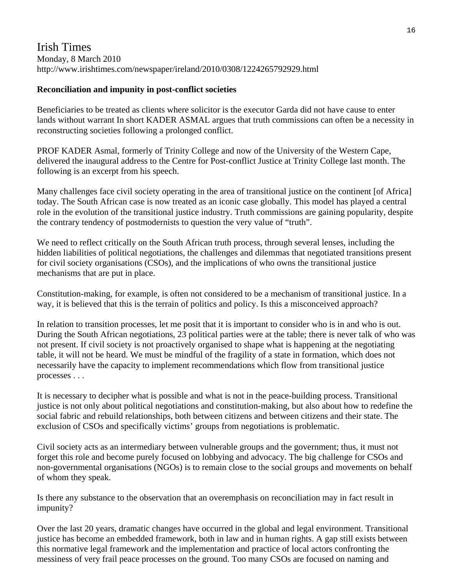### Irish Times Monday, 8 March 2010 http://www.irishtimes.com/newspaper/ireland/2010/0308/1224265792929.html

### **Reconciliation and impunity in post-conflict societies**

Beneficiaries to be treated as clients where solicitor is the executor Garda did not have cause to enter lands without warrant In short KADER ASMAL argues that truth commissions can often be a necessity in reconstructing societies following a prolonged conflict.

PROF KADER Asmal, formerly of Trinity College and now of the University of the Western Cape, delivered the inaugural address to the Centre for Post-conflict Justice at Trinity College last month. The following is an excerpt from his speech.

Many challenges face civil society operating in the area of transitional justice on the continent [of Africa] today. The South African case is now treated as an iconic case globally. This model has played a central role in the evolution of the transitional justice industry. Truth commissions are gaining popularity, despite the contrary tendency of postmodernists to question the very value of "truth".

We need to reflect critically on the South African truth process, through several lenses, including the hidden liabilities of political negotiations, the challenges and dilemmas that negotiated transitions present for civil society organisations (CSOs), and the implications of who owns the transitional justice mechanisms that are put in place.

Constitution-making, for example, is often not considered to be a mechanism of transitional justice. In a way, it is believed that this is the terrain of politics and policy. Is this a misconceived approach?

In relation to transition processes, let me posit that it is important to consider who is in and who is out. During the South African negotiations, 23 political parties were at the table; there is never talk of who was not present. If civil society is not proactively organised to shape what is happening at the negotiating table, it will not be heard. We must be mindful of the fragility of a state in formation, which does not necessarily have the capacity to implement recommendations which flow from transitional justice processes . . .

It is necessary to decipher what is possible and what is not in the peace-building process. Transitional justice is not only about political negotiations and constitution-making, but also about how to redefine the social fabric and rebuild relationships, both between citizens and between citizens and their state. The exclusion of CSOs and specifically victims' groups from negotiations is problematic.

Civil society acts as an intermediary between vulnerable groups and the government; thus, it must not forget this role and become purely focused on lobbying and advocacy. The big challenge for CSOs and non-governmental organisations (NGOs) is to remain close to the social groups and movements on behalf of whom they speak.

Is there any substance to the observation that an overemphasis on reconciliation may in fact result in impunity?

Over the last 20 years, dramatic changes have occurred in the global and legal environment. Transitional justice has become an embedded framework, both in law and in human rights. A gap still exists between this normative legal framework and the implementation and practice of local actors confronting the messiness of very frail peace processes on the ground. Too many CSOs are focused on naming and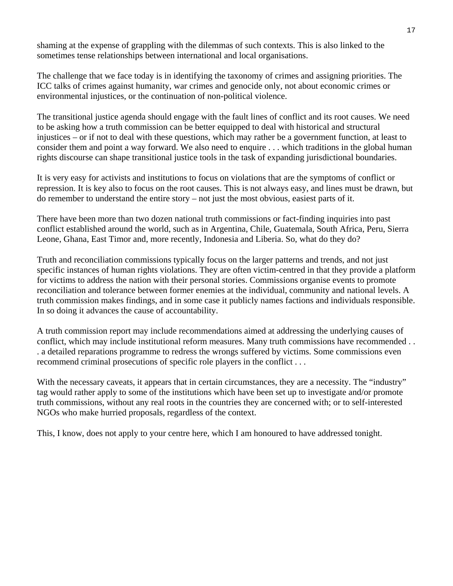shaming at the expense of grappling with the dilemmas of such contexts. This is also linked to the sometimes tense relationships between international and local organisations.

The challenge that we face today is in identifying the taxonomy of crimes and assigning priorities. The ICC talks of crimes against humanity, war crimes and genocide only, not about economic crimes or environmental injustices, or the continuation of non-political violence.

The transitional justice agenda should engage with the fault lines of conflict and its root causes. We need to be asking how a truth commission can be better equipped to deal with historical and structural injustices – or if not to deal with these questions, which may rather be a government function, at least to consider them and point a way forward. We also need to enquire . . . which traditions in the global human rights discourse can shape transitional justice tools in the task of expanding jurisdictional boundaries.

It is very easy for activists and institutions to focus on violations that are the symptoms of conflict or repression. It is key also to focus on the root causes. This is not always easy, and lines must be drawn, but do remember to understand the entire story – not just the most obvious, easiest parts of it.

There have been more than two dozen national truth commissions or fact-finding inquiries into past conflict established around the world, such as in Argentina, Chile, Guatemala, South Africa, Peru, Sierra Leone, Ghana, East Timor and, more recently, Indonesia and Liberia. So, what do they do?

Truth and reconciliation commissions typically focus on the larger patterns and trends, and not just specific instances of human rights violations. They are often victim-centred in that they provide a platform for victims to address the nation with their personal stories. Commissions organise events to promote reconciliation and tolerance between former enemies at the individual, community and national levels. A truth commission makes findings, and in some case it publicly names factions and individuals responsible. In so doing it advances the cause of accountability.

A truth commission report may include recommendations aimed at addressing the underlying causes of conflict, which may include institutional reform measures. Many truth commissions have recommended . . . a detailed reparations programme to redress the wrongs suffered by victims. Some commissions even recommend criminal prosecutions of specific role players in the conflict . . .

With the necessary caveats, it appears that in certain circumstances, they are a necessity. The "industry" tag would rather apply to some of the institutions which have been set up to investigate and/or promote truth commissions, without any real roots in the countries they are concerned with; or to self-interested NGOs who make hurried proposals, regardless of the context.

This, I know, does not apply to your centre here, which I am honoured to have addressed tonight.